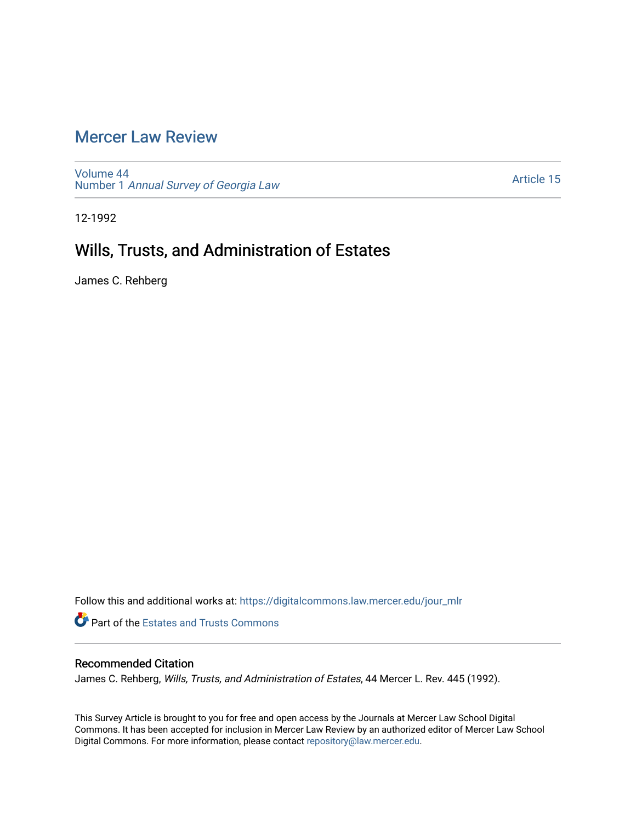## [Mercer Law Review](https://digitalcommons.law.mercer.edu/jour_mlr)

[Volume 44](https://digitalcommons.law.mercer.edu/jour_mlr/vol44) Number 1 [Annual Survey of Georgia Law](https://digitalcommons.law.mercer.edu/jour_mlr/vol44/iss1) 

[Article 15](https://digitalcommons.law.mercer.edu/jour_mlr/vol44/iss1/15) 

12-1992

# Wills, Trusts, and Administration of Estates

James C. Rehberg

Follow this and additional works at: [https://digitalcommons.law.mercer.edu/jour\\_mlr](https://digitalcommons.law.mercer.edu/jour_mlr?utm_source=digitalcommons.law.mercer.edu%2Fjour_mlr%2Fvol44%2Fiss1%2F15&utm_medium=PDF&utm_campaign=PDFCoverPages)

**Part of the Estates and Trusts Commons** 

## Recommended Citation

James C. Rehberg, Wills, Trusts, and Administration of Estates, 44 Mercer L. Rev. 445 (1992).

This Survey Article is brought to you for free and open access by the Journals at Mercer Law School Digital Commons. It has been accepted for inclusion in Mercer Law Review by an authorized editor of Mercer Law School Digital Commons. For more information, please contact [repository@law.mercer.edu](mailto:repository@law.mercer.edu).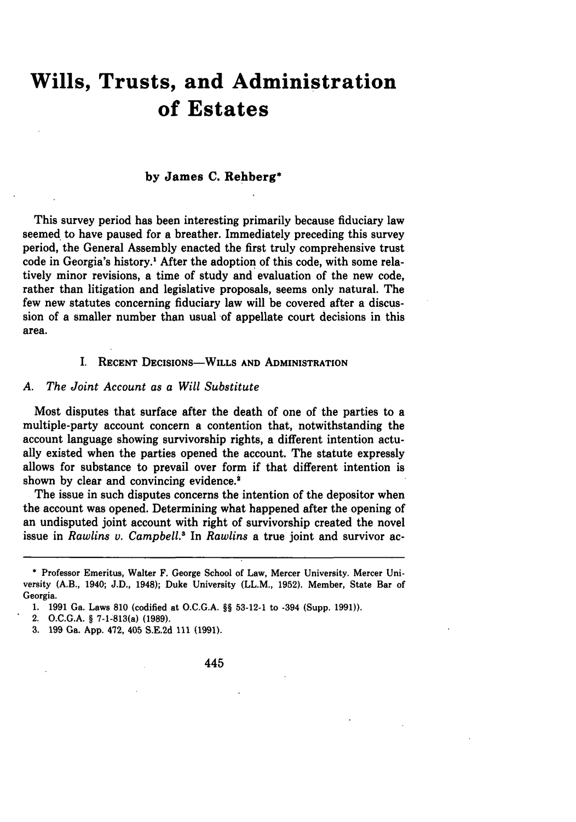# **Wills, Trusts, and Administration of Estates**

#### **by James C. Rehberg\***

This survey period has been interesting primarily because fiduciary law seemed to have paused for a breather. Immediately preceding this survey period, the General Assembly enacted the first truly comprehensive trust code in Georgia's history.' After the adoption of this code, with some relatively minor revisions, a time of study and evaluation of the new code, rather than litigation and legislative proposals, seems only natural. The few new statutes concerning fiduciary law will be covered after a discussion of a smaller number than usual of appellate court decisions in this area.

#### I. **RECENT DECISIONS-WILLS AND ADMINISTRATION**

#### *A. The Joint Account as a Will Substitute*

Most disputes that surface after the death of one of the parties to a multiple-party account concern a contention that, notwithstanding the account language showing survivorship rights, a different intention actually existed when the parties opened the account. The statute expressly allows for substance to prevail over form if that different intention is shown by clear and convincing evidence.<sup>2</sup>

The issue in such disputes concerns the intention of the depositor when the account was opened. Determining what happened after the opening of an undisputed joint account with right of survivorship created the novel issue in *Rawlins v. Campbell.'* In *Rawlins* a true joint and survivor ac-

- 2. O.C.G.A. **§** 7-1-813(a) **(1989).**
- **3. 199** Ga. App. 472, 405 S.E.2d **111** (1991).

445

**<sup>\*</sup>** Professor Emeritus, Walter F. George School of Law, Mercer University. Mercer University (A.B., 1940; J.D., 1948); Duke University (LL.M., **1952).** Member, State Bar of Georgia.

<sup>1.</sup> **1991** Ga. Laws **810** (codified at O.C.G.A. **§§** 53-12-1 to -394 (Supp. **1991)).**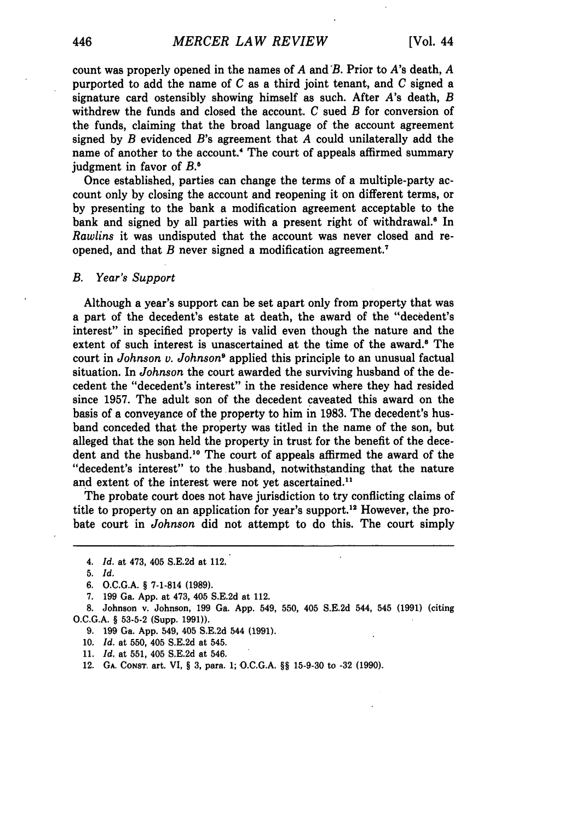count was properly opened in the names of *A* and B. Prior to A's death, *A* purported to add the name of *C* as a third joint tenant, and *C* signed a signature card ostensibly showing himself as such. After *A's* death, *B* withdrew the funds and closed the account. *C* sued *B* for conversion of the funds, claiming that the broad language of the account agreement signed by *B* evidenced B's agreement that *A* could unilaterally add the name of another to the account.<sup>4</sup> The court of appeals affirmed summary judgment in favor of *B.5*

Once established, parties can change the terms of a multiple-party account only by closing the account and reopening it on different terms, or by presenting to the bank a modification agreement acceptable to the bank and signed by all parties with a present right of withdrawal.<sup>6</sup> In *Rawlins* it was undisputed that the account was never closed and reopened, and that *B* never signed a modification agreement.'

#### *B. Year's Support*

Although a year's support can be set apart only from property that was a part of the decedent's estate at death, the award of the "decedent's interest" in specified property is valid even though the nature and the extent of such interest is unascertained at the time of the award.<sup>6</sup> The court in *Johnson v. Johnson9* applied this principle to an unusual factual situation. In *Johnson* the court awarded the surviving husband of the decedent the "decedent's interest" in the residence where they had resided since 1957. The adult son of the decedent caveated this award on the basis of a conveyance of the property to him in 1983. The decedent's husband conceded that the property was titled in the name of the son, but alleged that the son held the property in trust for the benefit of the decedent and the husband.<sup>10</sup> The court of appeals affirmed the award of the "decedent's interest" to the husband, notwithstanding that the nature and extent of the interest were not yet ascertained."

The probate court does not have jurisdiction to try conflicting claims of title to property on an application for year's support.<sup>12</sup> However, the probate court in *Johnson* did not attempt to do this. The court simply

- 9. 199 Ga. App. 549, 405 S.E.2d 544 (1991).
- 10. *Id.* at 550, 405 S.E.2d at 545.
- 11. *Id.* at 551, 405 S.E.2d at 546.
- 12. **GA.** CONsT. art. VI, § 3, para. **1;** O.C.G.A. §§ 15-9-30 to **-32** (1990).

<sup>4.</sup> *Id.* at 473, 405 S.E.2d at 112.

<sup>5.</sup> *Id.*

**<sup>6.</sup>** O.C.G.A. § 7-1-814 (1989).

<sup>7. 199</sup> Ga. App. at 473, 405 S.E.2d at 112.

<sup>8.</sup> Johnson v. Johnson, 199 Ga. App. 549, 550, 405 S.E.2d 544, 545 (1991) (citing O.C.G.A. § **53-5-2** (Supp. 1991)).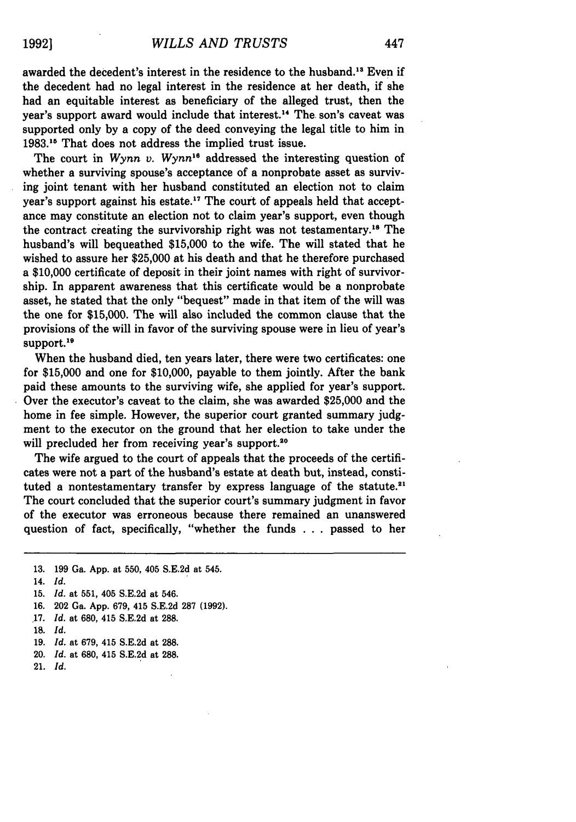awarded the decedent's interest in the residence to the husband."' Even if the decedent had no legal interest in the residence at her death, if she had an equitable interest as beneficiary of the alleged trust, then the year's support award would include that interest.<sup>14</sup> The son's caveat was supported only **by** a copy of the deed conveying the legal title to him in **1983."** That does not address the implied trust issue.

The court in *Wynn v. Wynn"* addressed the interesting question of whether a surviving spouse's acceptance of a nonprobate asset as surviving joint tenant with her husband constituted an election not to claim year's support against his estate.<sup>17</sup> The court of appeals held that acceptance may constitute an election not to claim year's support, even though the contract creating the survivorship right was not testamentary.<sup>18</sup> The husband's will bequeathed \$15,000 to the wife. The will stated that he wished to assure her \$25,000 at his death and that he therefore purchased a \$10,000 certificate of deposit in their joint names with right of survivorship. In apparent awareness that this certificate would be a nonprobate asset, he stated that the only "bequest" made in that item of the will was the one for \$15,000. The will also included the common clause that the provisions of the will in favor of the surviving spouse were in lieu of year's support.<sup>19</sup>

When the husband died, ten years later, there were two certificates: one for \$15,000 and one for \$10,000, payable to them jointly. After the bank paid these amounts to the surviving wife, she applied for year's support. Over the executor's caveat to the claim, she was awarded \$25,000 and the home in fee simple. However, the superior court granted summary judgment to the executor on the ground that her election to take under the will precluded her from receiving year's support.<sup>20</sup>

The wife argued to the court of appeals that the proceeds of the certificates were not a part of the husband's estate at death but, instead, constituted a nontestamentary transfer by express language of the statute.<sup>21</sup> The court concluded that the superior court's summary judgment in favor of the executor was erroneous because there remained an unanswered question of fact, specifically, "whether the funds .**.** . passed to her

- 15. *Id.* at 551, 405 S.E.2d at 546.
- 16. 202 Ga. App. 679, 415 S.E.2d 287 **(1992).**
- **17.** *Id.* at 680, 415 S.E.2d at 288.
- 18. Id.
- 19. *Id.* at 679, 415 S.E.2d at 288.
- 20. *Id.* at 680, 415 S.E.2d at 288.
- 21. *Id.*

<sup>13. 199</sup> Ga. App. at 550, 405 **S.E.2d** at 545.

<sup>14.</sup> *Id.*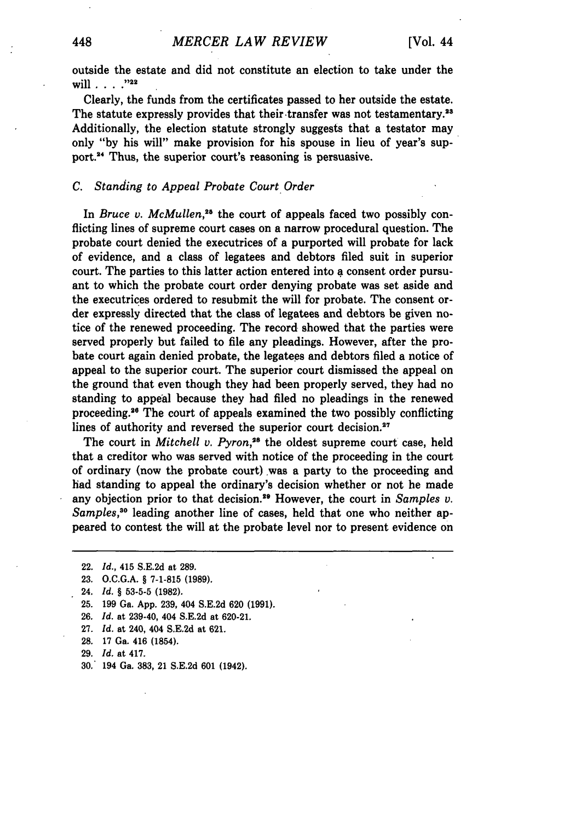outside the estate and did not constitute an election to take under the will . **. . . ,"22**

Clearly, the funds from the certificates passed to her outside the estate. The statute expressly provides that their transfer was not testamentary.<sup>23</sup> Additionally, the election statute strongly suggests that a testator may only **"by** his will" make provision for his spouse in lieu of year's support.2' Thus, the superior court's reasoning is persuasive.

#### *C. Standing to Appeal Probate Court Order*

In *Bruce v. McMullen*,<sup>25</sup> the court of appeals faced two possibly conflicting lines of supreme court cases on a narrow procedural question. The probate court denied the executrices of a purported will probate for lack of evidence, and a class of legatees and debtors filed suit in superior court. The parties to this latter action entered into **a** consent order pursuant to which the probate court order denying probate was set aside and the executrices ordered to resubmit the will for probate. The consent order expressly directed that the class of legatees and debtors be given notice of the renewed proceeding. The record showed that the parties were served properly but failed to file any pleadings. However, after the probate court again denied probate, the legatees and debtors filed a notice of appeal to the superior court. The superior court dismissed the appeal on the ground that even though they had been properly served, they had no standing to appeal because they had filed no pleadings in the renewed proceeding.<sup>26</sup> The court of appeals examined the two possibly conflicting lines of authority and reversed the superior court decision.<sup>27</sup>

The court in *Mitchell v. Pyron*,<sup>28</sup> the oldest supreme court case, held that a creditor who was served with notice of the proceeding in the court of ordinary (now the probate court),was a party to the proceeding and had standing to appeal the ordinary's decision whether or not he made any objection prior to that decision.<sup>29</sup> However, the court in *Samples v. Samples,"0* leading another line of cases, held that one who neither appeared to contest the will at the probate level nor to present evidence on

- **26.** *Id.* at 239-40, 404 **S.E.2d** at **620-21.**
- **27.** *Id.* at 240, 404 **S.E.2d** at **621.**
- **28. 17** Ga. 416 (1854).
- **29.** *Id.* at 417.
- **30.** 194 Ga. **383,** 21 **S.E.2d 601** (1942).

<sup>22.</sup> *Id.,* 415 S.E.2d at **289.**

**<sup>23.</sup>** O.C.G.A. § **7-1-815 (1989).**

<sup>24.</sup> *Id.* **§ 53-5-5 (1982).**

**<sup>25. 199</sup>** Ga. **App. 239,** 404 **S.E.2d 620 (1991).**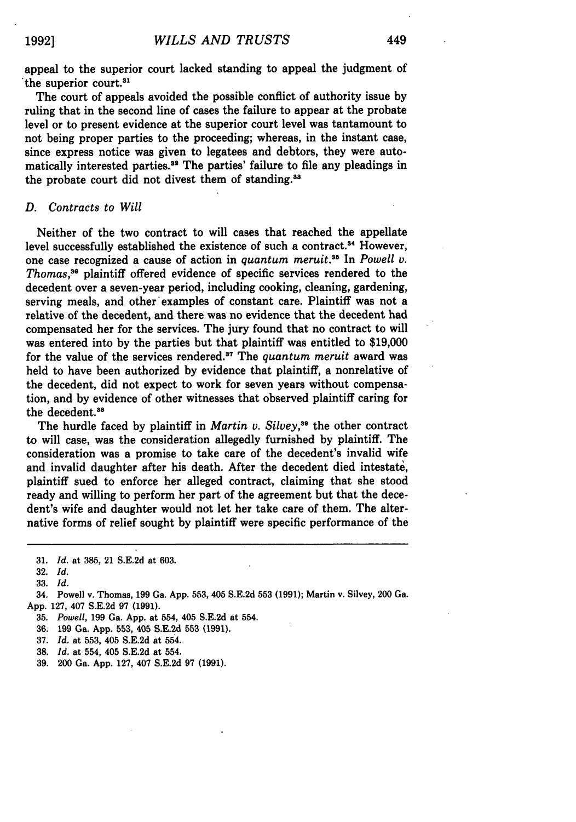appeal to the superior court lacked standing to appeal the judgment of the superior court.<sup>31</sup>

The court of appeals avoided the possible conflict of authority issue by ruling that in the second line of cases the failure to appear at the probate level or to present evidence at the superior court level was tantamount to not being proper parties to the proceeding; whereas, in the instant case, since express notice was given to legatees and debtors, they were automatically interested parties.<sup>32</sup> The parties' failure to file any pleadings in the probate court did not divest them of standing.<sup>33</sup>

#### *D. Contracts to Will*

Neither of the two contract to will cases that reached the appellate level successfully established the existence of such a contract.<sup>34</sup> However, one case recognized a cause of action in *quantum meruit.8* In *Powell v. Thomas,"* plaintiff offered evidence of specific services rendered to the decedent over a seven-year period, including cooking, cleaning, gardening, serving meals, and other'examples of constant care. Plaintiff was not a relative of the decedent, and there was no evidence that the decedent had compensated her for the services. The jury found that no contract to will was entered into by the parties but that plaintiff was entitled to \$19,000 for the value of the services rendered.<sup>37</sup> The *quantum meruit* award was held to have been authorized by evidence that plaintiff, a nonrelative of the decedent, did not expect to work for seven years without compensation, and by evidence of other witnesses that observed plaintiff caring for the decedent.<sup>38</sup>

The hurdle faced by plaintiff in *Martin v. Silvey*,<sup>39</sup> the other contract to will case, was the consideration allegedly furnished by plaintiff. The consideration was a promise to take care of the decedent's invalid wife and invalid daughter after his death. After the decedent died intestate, plaintiff sued to enforce her alleged contract, claiming that she stood ready and willing to perform her part of the agreement but that the decedent's wife and daughter would not let her take care of them. The alternative forms of relief sought by plaintiff were specific performance of the

33. *Id.*

34. Powell v. Thomas, **199** Ga. App. 553, 405 S.E.2d 553 (1991); Martin v. Silvey, 200 Ga. App. 127, 407 S.E.2d 97 (1991).

35. *Powell,* 199 Ga. App. at 554, 405 S.E.2d at 554.

**36;** 199 Ga. **App.** 553, 405 S.E.2d **553** (1991).

37. *Id.* at 553, 405 S.E.2d at 554.

38. *Id.* at 554, 405 S.E.2d at 554.

39. 200 Ga. App. 127, 407 S.E.2d 97 (1991).

**<sup>31.</sup>** *Id.* at 385, 21 S.E.2d at 603.

<sup>32.</sup> *Id.*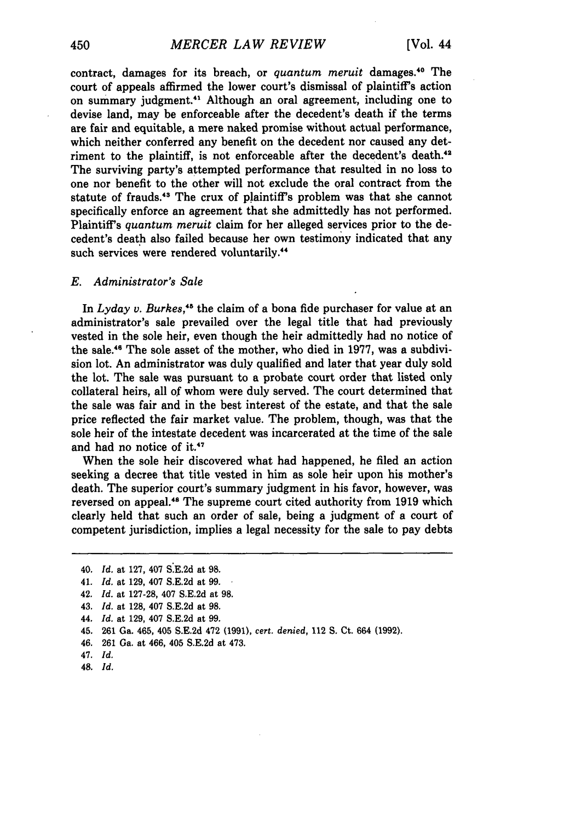contract, damages for its breach, or *quantum meruit* damages.40 The court of appeals affirmed the lower court's dismissal of plaintiff's action on summary judgment.<sup>41</sup> Although an oral agreement, including one to devise land, may be enforceable after the decedent's death if the terms are fair and equitable, a mere naked promise without actual performance, which neither conferred any benefit on the decedent nor caused any detriment to the plaintiff, is not enforceable after the decedent's death.<sup>42</sup> The surviving party's attempted performance that resulted in no loss to one nor benefit to the other will not exclude the oral contract from the statute of frauds.'3 The crux of plaintiff's problem was that she cannot specifically enforce an agreement that she admittedly has not performed. Plaintiff's *quantum meruit* claim for her alleged services prior to the decedent's death also failed because her own testimony indicated that any such services were rendered voluntarily.<sup>44</sup>

#### *E. Administrator's Sale*

In *Lyday v. Burkes,'s* the claim of a bona fide purchaser for value at an administrator's sale prevailed over the legal title that had previously vested in the sole heir, even though the heir admittedly had no notice of the sale.<sup>46</sup> The sole asset of the mother, who died in 1977, was a subdivision lot. An administrator was duly qualified and later that year duly sold the lot. The sale was pursuant to a probate court order that listed only collateral heirs, all of whom were duly served. The court determined that the sale was fair and in the best interest of the estate, and that the sale price reflected the fair market value. The problem, though, was that the sole heir of the intestate decedent was incarcerated at the time of the sale and had no notice of it.<sup>47</sup>

When the sole heir discovered what had happened, he filed an action seeking a decree that title vested in him as sole heir upon his mother's death. The superior court's summary judgment in his favor, however, was reversed on appeal.'8 The supreme court cited authority from 1919 which clearly held that such an order of sale, being a judgment of a court of competent jurisdiction, implies a legal necessity for the sale to pay debts

- 44. *Id.* at 129, 407 S.E.2d at 99.
- 45. 261 Ga. 465, 405 **S.E.2d** 472 **(1991),** cert. *denied,* 112 **S.** Ct. 664 (1992).
- 46. 261 Ga. at 466, 405 S.E.2d at 473.
- 47. *Id.*
- 48. *Id.*

<sup>40.</sup> *Id.* at **127,** 407 **S.E.2d** at 98.

<sup>41.</sup> *Id.* at 129, 407 S.E.2d at **99.**

<sup>42.</sup> *Id.* at 127-28, 407 S.E.2d at 98.

<sup>43.</sup> *Id.* at 128, 407 S.E.2d at 98.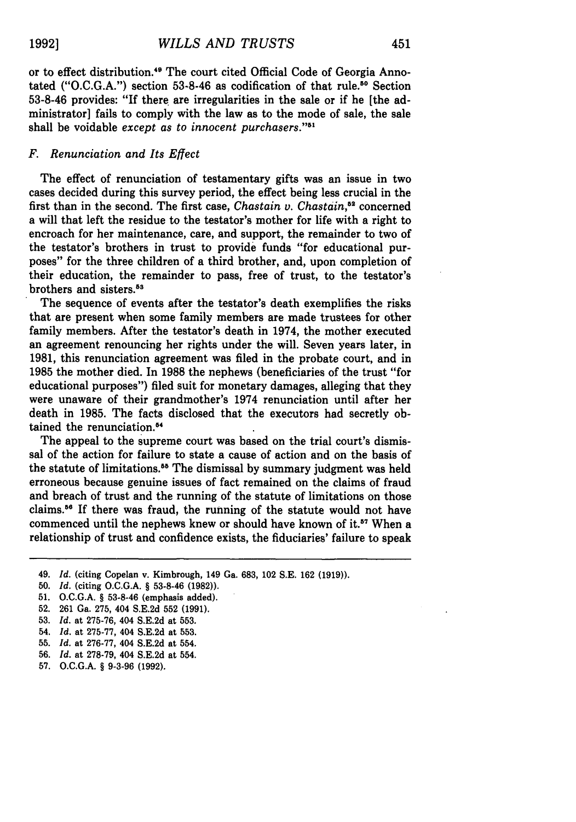or to effect distribution.<sup>49</sup> The court cited Official Code of Georgia Annotated ("O.C.G.A.") section 53-8-46 as codification of that rule." Section 53-8-46 provides: "If there are irregularities in the sale or if he [the administrator] fails to comply with the law as to the mode of sale, the sale shall be voidable except as to innocent purchasers."<sup>51</sup>

#### *F. Renunciation and Its Effect*

The effect of renunciation of testamentary gifts was an issue in two cases decided during this survey period, the effect being less crucial in the first than in the second. The first case, *Chastain v. Chastain,"2* concerned a will that left the residue to the testator's mother for life with a right to encroach for her maintenance, care, and support, the remainder to two of the testator's brothers in trust to provide funds "for educational purposes" for the three children of a third brother, and, upon completion of their education, the remainder to pass, free of trust, to the testator's brothers and sisters.<sup>53</sup>

The sequence of events after the testator's death exemplifies the risks that are present when some family members are made trustees for other family members. After the testator's death in 1974, the mother executed an agreement renouncing her rights under the will. Seven years later, in 1981, this renunciation agreement was filed in the probate court, and in 1985 the mother died. In 1988 the nephews (beneficiaries of the trust "for educational purposes") filed suit for monetary damages, alleging that they were unaware of their grandmother's 1974 renunciation until after her death in 1985. The facts disclosed that the executors had secretly obtained the renunciation.<sup>54</sup>

The appeal to the supreme court was based on the trial court's dismissal of the action for failure to state a cause of action and on the basis of the statute of limitations.<sup>55</sup> The dismissal by summary judgment was held erroneous because genuine issues of fact remained on the claims of fraud and breach of trust and the running of the statute of limitations on those claims.<sup>56</sup> If there was fraud, the running of the statute would not have commenced until the nephews knew or should have known of it.<sup>57</sup> When a relationship of trust and confidence exists, the fiduciaries' failure to speak

**53.** *Id.* at 275-76, 404 S.E.2d at **553.**

- 55. *Id.* at 276-77, 404 S.E.2d at 554.
- 56. *Id.* at 278-79, 404 S.E.2d at 554.
- 57. O.C.G.A. § 9-3-96 (1992).

<sup>49.</sup> *Id.* (citing Copelan v. Kimbrough, 149 Ga. **683,** 102 S.E. 162 (1919)).

<sup>50.</sup> *Id.* (citing O.C.G.A. § **53-8-46** (1982)).

**<sup>51.</sup>** O.C.G.A. § **53-8-46** (emphasis added).

**<sup>52. 261</sup>** Ga. 275, 404 S.E.2d **552 (1991).**

<sup>54.</sup> *Id.* at **275-77,** 404 S.E.2d at 553.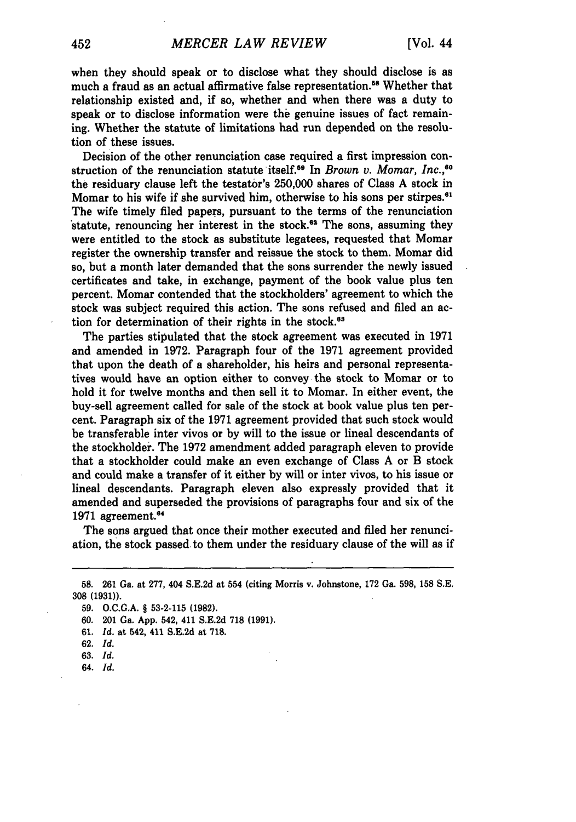when they should speak or to disclose what they should disclose is as much a fraud as an actual affirmative false representation.<sup>58</sup> Whether that relationship existed and, if so, whether and when there was a duty to speak or to disclose information were the genuine issues of fact remaining. Whether the statute of limitations had run depended on the resolution of these issues.

Decision of the other renunciation case required a first impression construction of the renunciation statute itself.<sup>59</sup> In *Brown v. Momar, Inc.*,<sup>60</sup> the residuary clause left the testator's 250,000 shares of Class A stock in Momar to his wife if she survived him, otherwise to his sons per stirpes.<sup>61</sup> The wife timely filed papers, pursuant to the terms of the renunciation statute, renouncing her interest in the stock.<sup>62</sup> The sons, assuming they were entitled to the stock as substitute legatees, requested that Momar register the ownership transfer and reissue the stock to them. Momar did so, but a month later demanded that the sons surrender the newly issued certificates and take, in exchange, payment of the book value plus ten percent. Momar contended that the stockholders' agreement to which the stock was subject required this action. The sons refused and filed an action for determination of their rights in the stock. $63$ 

The parties stipulated that the stock agreement was executed in 1971 and amended in **1972.** Paragraph four of the **1971** agreement provided that upon the death of a shareholder, his heirs and personal representatives would have an option either to convey the stock to Momar or to hold it for twelve months and then sell it to Momar. In either event, the buy-sell agreement called for sale of the stock at book value plus ten percent. Paragraph six of the 1971 agreement provided that such stock would be transferable inter vivos or by will to the issue or lineal descendants of the stockholder. The 1972 amendment added paragraph eleven to provide that a stockholder could make an even exchange of Class A or B stock and could make a transfer of it either by will or inter vivos, to his issue or lineal descendants. Paragraph eleven also expressly provided that it amended and superseded the provisions of paragraphs four and six of the 1971 agreement.<sup>64</sup>

The sons argued that once their mother executed and filed her renunciation, the stock passed to them under the residuary clause of the will as if

**64. Id.**

<sup>58. 261</sup> Ga. at 277, 404 S.E.2d at 554 (citing Morris v. Johnstone, 172 Ga. 598, 158 S.E. **308 (1931)).**

**<sup>59.</sup> O.C.G.A.** § **53-2-115 (1982).**

**<sup>60.</sup>** 201 Ga. **App.** 542, 411 **S.E.2d 718 (1991).**

**<sup>61.</sup>** *Id.* at 542, 411 **S.E.2d** at **718.**

**<sup>62.</sup>** *Id.*

**<sup>63.</sup>** *Id.*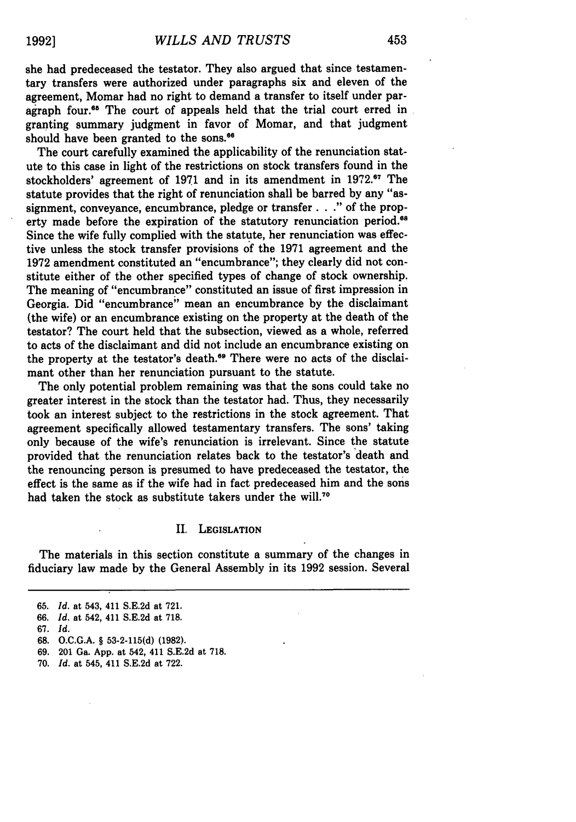she had predeceased the testator. They also argued that since testamentary transfers were authorized under paragraphs six and eleven of the agreement, Momar had no right to demand a transfer to itself under paragraph four.<sup>65</sup> The court of appeals held that the trial court erred in granting summary judgment in favor of Momar, and that judgment should have been granted to the sons.<sup>66</sup>

The court carefully examined the applicability of the renunciation statute to this case in light of the restrictions on stock transfers found in the stockholders' agreement of **1971** and in its amendment in **1972.67** The statute provides that the right of renunciation shall be barred **by** any "assignment, conveyance, encumbrance, pledge or transfer. **. ."** of the property made before the expiration of the statutory renunciation period.<sup>68</sup> Since the wife fully complied with the statute, her renunciation was effective unless the stock transfer provisions **of** the **1971** agreement and the **1972** amendment constituted an "encumbrance"; they clearly did not constitute either of the other specified types of change of stock ownership. The meaning of "encumbrance" constituted an issue of first impression in Georgia. Did "encumbrance" mean an encumbrance **by** the disclaimant (the wife) or an encumbrance existing on the property at the death of the testator? The court held that the subsection, viewed as a whole, referred to acts of the disclaimant and did not include an encumbrance existing on the property at the testator's death.<sup>69</sup> There were no acts of the disclaimant other than her renunciation pursuant to the statute.

The only potential problem remaining was that the sons could take no greater interest in the stock than the testator had. Thus, they necessarily took an interest subject to the restrictions in the stock agreement. That agreement specifically allowed testamentary transfers. The sons' taking only because of the wife's renunciation is irrelevant. Since the statute provided that the renunciation relates back to the testator's death and the renouncing person is presumed to have predeceased the testator, the effect is the same as if the wife had in fact predeceased him and the sons had taken the stock as substitute takers under the will.<sup>70</sup>

#### **II. LEGISLATION**

The materials in this section constitute a summary of the changes in fiduciary law made **by** the General Assembly in its **1992** session. Several

**<sup>65.</sup>** *Id.* at 543, 411 **S.E.2d** at **721.**

*<sup>66.</sup> Id.* at 542, 411 **S.E.2d** at **718.**

**<sup>67.</sup>** *Id.*

<sup>68.</sup> O.C.G.A. § 53-2-115(d) (1982).

<sup>69. 201</sup> Ga. App. at 542, 411 S.E.2d at 718.

<sup>70.</sup> *Id.* at 545, 411 S.E.2d at 722.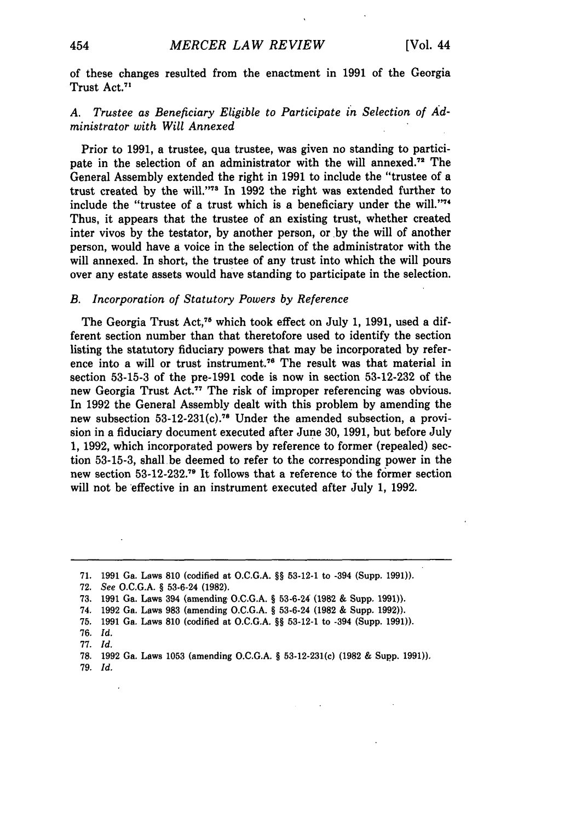of these changes resulted from the enactment in **1991** of the Georgia Trust Act.<sup>71</sup>

### *A. Trustee as Beneficiary Eligible to Participate in Selection of Administrator with Will Annexed*

Prior to 1991, a trustee, qua trustee, was given no standing to participate in the selection of an administrator with the will annexed.<sup>72</sup> The General Assembly extended the right in 1991 to include the "trustee of a trust created by the will."<sup>73</sup> In 1992 the right was extended further to include the "trustee of a trust which is a beneficiary under the will."74 Thus, it appears that the trustee of an existing trust, whether created inter vivos by the testator, by another person, or by the will of another person, would have a voice in the selection of the administrator with the will annexed. In short, the trustee of any trust into which the will pours over any estate assets would have standing to participate in the selection.

#### *B. Incorporation of Statutory Powers by Reference*

The Georgia Trust Act,<sup>76</sup> which took effect on July 1, 1991, used a different section number than that theretofore used to identify the section listing the statutory fiduciary powers that may be incorporated by reference into a will or trust instrument.<sup>76</sup> The result was that material in section 53-15-3 of the pre-1991 code is now in section 53-12-232 of the new Georgia Trust Act.<sup>77</sup> The risk of improper referencing was obvious. In 1992 the General Assembly dealt with this problem by amending the new subsection  $53-12-231(c)$ <sup>78</sup> Under the amended subsection, a provision in a fiduciary document executed after June 30, 1991, but before July 1, 1992, which incorporated powers by reference to former (repealed) section 53-15-3, shall be deemed to refer to the corresponding power in the new section 53-12-232.<sup>79</sup> It follows that a reference to the former section will not be effective in an instrument executed after July 1, 1992.

72. *See* O.C.G.A. § 53-6-24 (1982).

<sup>71. 1991</sup> Ga. Laws 810 (codified at O.C.G.A. §§ **53-12-1** to -394 (Supp. 1991)).

**<sup>73. 1991</sup>** Ga. Laws 394 (amending **O.C.G.A.** § **53-6-24 (1982 &** Supp. **1991)).**

<sup>74.</sup> **1992** Ga. Laws **983** (amending **O.C.G.A.** § **53-6-24 (1982 &** Supp. **1992)).**

**<sup>75. 1991</sup>** Ga. Laws **810** (codified at **O.C.G.A. §§ 53-12-1** to -394 (Supp. **1991)).**

**<sup>76.</sup>** *Id.*

**<sup>77.</sup>** *Id.*

**<sup>78. 1992</sup>** Ga. Laws **1053** (amending **O.C.G.A.** § 53-12-231(c) **(1982** & Supp. **1991)).**

**<sup>79.</sup>** *Id.*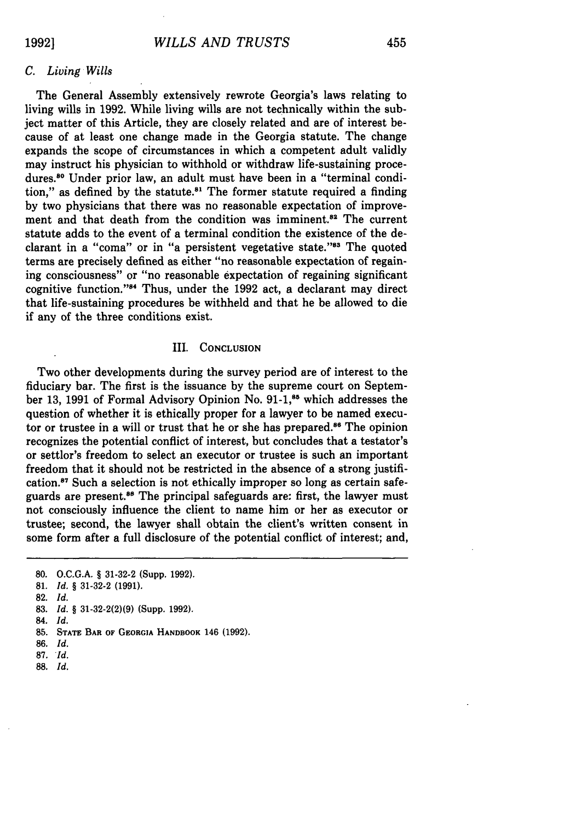#### *C. Living Wills*

The General Assembly extensively rewrote Georgia's laws relating to living wills in 1992. While living wills are not technically within the subject matter of this Article, they are closely related and are of interest because of at least one change made in the Georgia statute. The change expands the scope of circumstances in which a competent adult validly may instruct his physician to withhold or withdraw life-sustaining procedures.<sup>80</sup> Under prior law, an adult must have been in a "terminal condition," as defined by the statute. $81$  The former statute required a finding by two physicians that there was no reasonable expectation of improvement and that death from the condition was imminent.<sup>82</sup> The current statute adds to the event of a terminal condition the existence of the declarant in a "coma" or in "a persistent vegetative state."<sup>83</sup> The quoted terms are precisely defined as either "no reasonable expectation of regaining consciousness" or "no reasonable expectation of regaining significant cognitive function."<sup>84</sup> Thus, under the 1992 act, a declarant may direct that life-sustaining procedures be withheld and that he be allowed to die if any of the three conditions exist.

#### III. CONCLUSION

Two other developments during the survey period are of interest to the fiduciary bar. The first is the issuance by the supreme court on September 13, 1991 of Formal Advisory Opinion No. 91-1,<sup>85</sup> which addresses the question of whether it is ethically proper for a lawyer to be named executor or trustee in a will or trust that he or she has prepared.<sup>86</sup> The opinion recognizes the potential conflict of interest, but concludes that a testator's or settlor's freedom to select an executor or trustee is such an important freedom that it should not be restricted in the absence of a strong justification.87 Such a selection is not ethically improper so long as certain safeguards are present.<sup>88</sup> The principal safeguards are: first, the lawyer must not consciously influence the client to name him or her as executor or trustee; second, the lawyer shall obtain the client's written consent in some form after a full disclosure of the potential conflict of interest; and,

- **85. STATE BAR OF GEORGIA HANDBOOK** 146 **(1992).**
- 86. **Id,**
- **87.** *Id.*
- 88. *Id.*

**<sup>80.</sup> O.C.G.A.** § **31-32-2** (Supp. **1992).**

**<sup>81.</sup>** *Id.* § **31-32-2 (1991).**

**<sup>82.</sup>** *Id.*

<sup>83.</sup> *Id.* § 31-32-2(2)(9) (Supp. 1992).

<sup>84.</sup> Id.